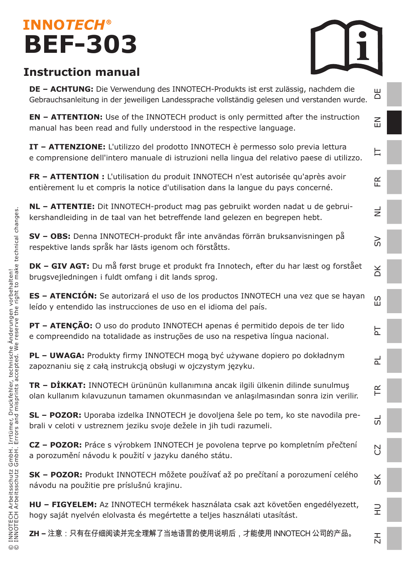### **INNOTECH® BEF-303**



 $\leq$ 

 $\overline{\phantom{a}}$ 

FR

 $\Rightarrow$ 

 $\geq$ 

DK

ES

PT

 $\overline{2}$ 

TR

5

 $\mathbb{R}$ 

SK

 $\Rightarrow$ 

 $\overline{z}$ 

### **Instruction manual**

**DE – ACHTUNG:** Die Verwendung des INNOTECH-Produkts ist erst zulässig, nachdem die Gebrauchsanleitung in der jeweiligen Landessprache vollständig gelesen und verstanden wurde. DE

**EN – ATTENTION:** Use of the INNOTECH product is only permitted after the instruction manual has been read and fully understood in the respective language.

**IT – ATTENZIONE:** L'utilizzo del prodotto INNOTECH è permesso solo previa lettura e comprensione dell'intero manuale di istruzioni nella lingua del relativo paese di utilizzo.

**FR – ATTENTION :** L'utilisation du produit INNOTECH n'est autorisée qu'après avoir entièrement lu et compris la notice d'utilisation dans la langue du pays concerné.

**NL – ATTENTIE:** Dit INNOTECH-product mag pas gebruikt worden nadat u de gebruikershandleiding in de taal van het betreffende land gelezen en begrepen hebt.

**SV – OBS:** Denna INNOTECH-produkt får inte användas förrän bruksanvisningen på respektive lands språk har lästs igenom och förståtts.

**DK – GIV AGT:** Du må først bruge et produkt fra Innotech, efter du har læst og forstået brugsvejledningen i fuldt omfang i dit lands sprog.

**ES – ATENCIÓN:** Se autorizará el uso de los productos INNOTECH una vez que se hayan leído y entendido las instrucciones de uso en el idioma del país.

**PT – ATENÇÃO:** O uso do produto INNOTECH apenas é permitido depois de ter lido e compreendido na totalidade as instruções de uso na respetiva língua nacional.

**PL – UWAGA:** Produkty firmy INNOTECH mogą być używane dopiero po dokładnym zapoznaniu się z całą instrukcją obsługi w ojczystym języku.

**TR – DİKKAT:** INNOTECH ürününün kullanımına ancak ilgili ülkenin dilinde sunulmuş olan kullanım kılavuzunun tamamen okunmasından ve anlaşılmasından sonra izin verilir.

**SL – POZOR:** Uporaba izdelka INNOTECH je dovoljena šele po tem, ko ste navodila prebrali v celoti v ustreznem jeziku svoje dežele in jih tudi razumeli.

**CZ – POZOR:** Práce s výrobkem INNOTECH je povolena teprve po kompletním přečtení a porozumění návodu k použití v jazyku daného státu.

**SK – POZOR:** Produkt INNOTECH môžete používať až po prečítaní a porozumení celého návodu na použitie pre príslušnú krajinu.

**HU – FIGYELEM:** Az INNOTECH termékek használata csak azt követően engedélyezett, hogy saját nyelvén elolvasta és megértette a teljes használati utasítást.

**ZH –** 注意:只有在仔细阅读并完全理解了当地语言的使用说明后,才能使用 INNOTECH 公司的产品。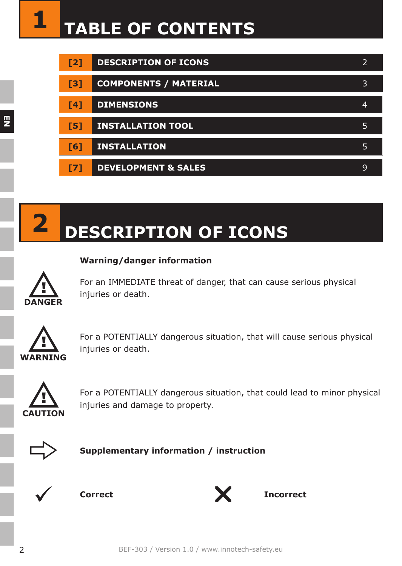| $12$       | <b>DESCRIPTION OF ICONS</b>    |   |
|------------|--------------------------------|---|
| [3]        | <b>COMPONENTS / MATERIAL</b>   | 3 |
| [4]        | <b>DIMENSIONS</b>              | 4 |
| [5]        | <b>INSTALLATION TOOL</b>       | 5 |
| F61        | <b>INSTALLATION</b>            | 5 |
| <b>F71</b> | <b>DEVELOPMENT &amp; SALES</b> | 9 |



### **2 DESCRIPTION OF ICONS**

#### **Warning/danger information**



For an IMMEDIATE threat of danger, that can cause serious physical injuries or death.



For a POTENTIALLY dangerous situation, that will cause serious physical injuries or death.



For a POTENTIALLY dangerous situation, that could lead to minor physical injuries and damage to property.



**Supplementary information / instruction**



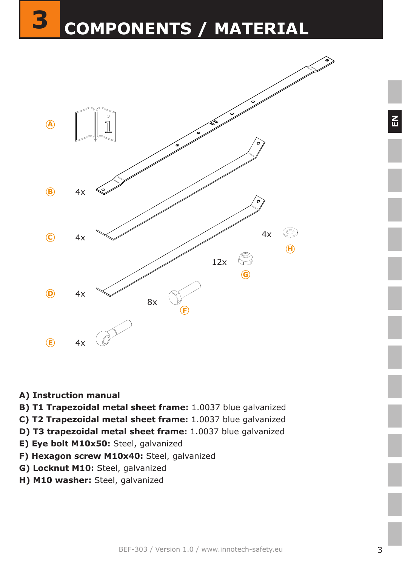

- **A) Instruction manual**
- **B) T1 Trapezoidal metal sheet frame:** 1.0037 blue galvanized
- **C) T2 Trapezoidal metal sheet frame:** 1.0037 blue galvanized
- **D) T3 trapezoidal metal sheet frame:** 1.0037 blue galvanized
- **E) Eye bolt M10x50:** Steel, galvanized
- F) Hexagon screw M10x40: Steel, galvanized
- **G) Locknut M10:** Steel, galvanized
- **H) M10 washer:** Steel, galvanized

 $\mathbf{E}$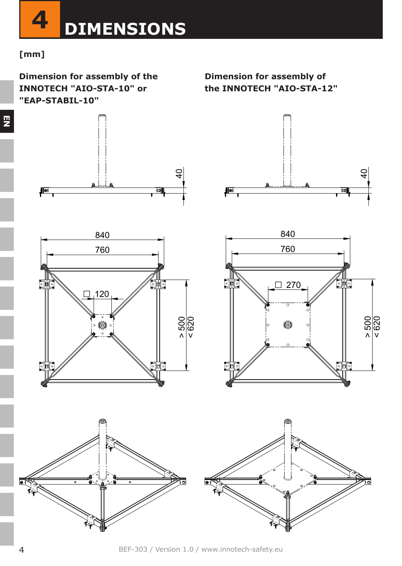

#### **[mm]**

**EN**

**Dimension for assembly of the INNOTECH "AIO-STA-10" or "EAP-STABIL-10"**

ਰ

**Dimension for assembly of the INNOTECH "AIO-STA-12"**









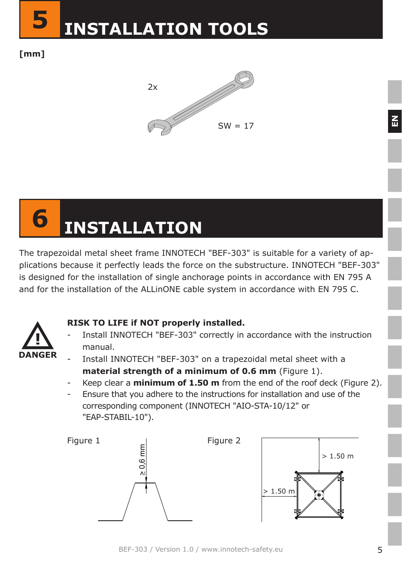

**[mm]**



# **6 INSTALLATION**

The trapezoidal metal sheet frame INNOTECH "BEF-303" is suitable for a variety of applications because it perfectly leads the force on the substructure. INNOTECH "BEF-303" is designed for the installation of single anchorage points in accordance with EN 795 A and for the installation of the ALLinONE cable system in accordance with EN 795 C.



### **RISK TO LIFE if NOT properly installed.**

- Install INNOTECH "BEF-303" correctly in accordance with the instruction manual.
- 
- Install INNOTECH "BEF-303" on a trapezoidal metal sheet with a **material strength of a minimum of 0.6 mm** (Figure 1).
- Keep clear a **minimum of 1.50 m** from the end of the roof deck (Figure 2).
- Ensure that you adhere to the instructions for installation and use of the corresponding component (INNOTECH "AIO-STA-10/12" or "EAP-STABIL-10").



 $\overline{E}$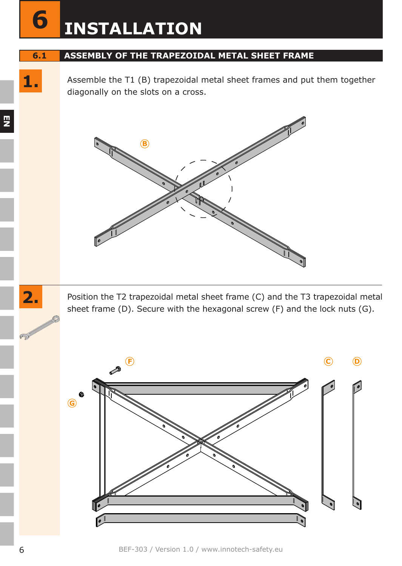## **6 INSTALLATION**

#### **6.1 ASSEMBLY OF THE TRAPEZOIDAL METAL SHEET FRAME**

Assemble the T1 (B) trapezoidal metal sheet frames and put them together diagonally on the slots on a cross.



Position the T2 trapezoidal metal sheet frame (C) and the T3 trapezoidal metal sheet frame (D). Secure with the hexagonal screw (F) and the lock nuts (G).



**EN**

**1.**

**2.**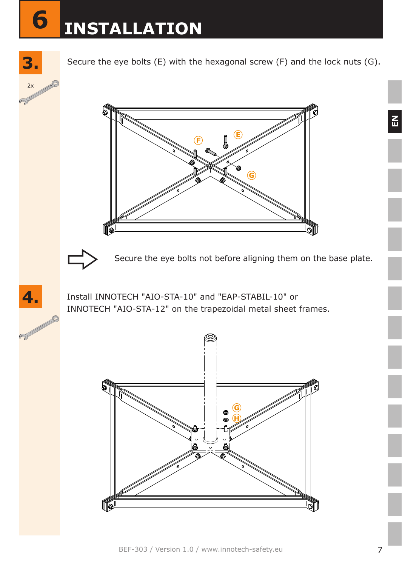## **3.6 INSTALLATION**

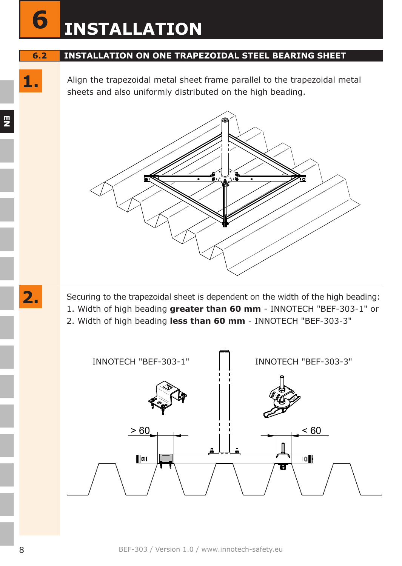## **6 INSTALLATION**

#### **6.2 INSTALLATION ON ONE TRAPEZOIDAL STEEL BEARING SHEET**

**1.** Align the trapezoidal metal sheet frame parallel to the trapezoidal metal sheets and also uniformly distributed on the high beading.



Securing to the trapezoidal sheet is dependent on the width of the high beading: 1. Width of high beading **greater than 60 mm** - INNOTECH "BEF-303-1" or 2. Width of high beading **less than 60 mm** - INNOTECH "BEF-303-3"



**EN**

**2.**